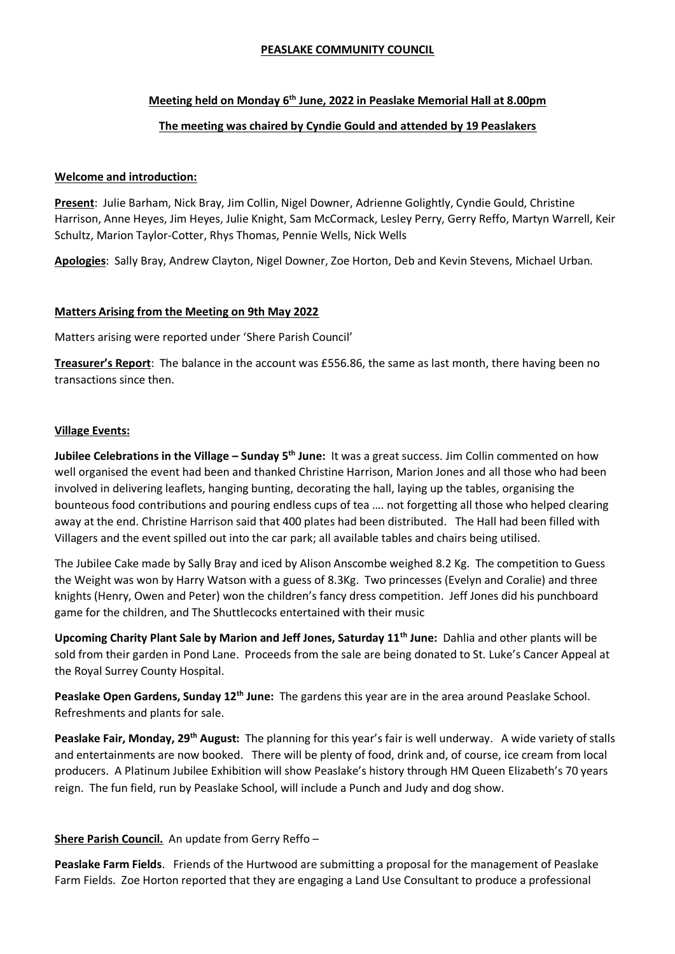### **PEASLAKE COMMUNITY COUNCIL**

### **Meeting held on Monday 6th June, 2022 in Peaslake Memorial Hall at 8.00pm**

## **The meeting was chaired by Cyndie Gould and attended by 19 Peaslakers**

### **Welcome and introduction:**

**Present**: Julie Barham, Nick Bray, Jim Collin, Nigel Downer, Adrienne Golightly, Cyndie Gould, Christine Harrison, Anne Heyes, Jim Heyes, Julie Knight, Sam McCormack, Lesley Perry, Gerry Reffo, Martyn Warrell, Keir Schultz, Marion Taylor-Cotter, Rhys Thomas, Pennie Wells, Nick Wells

**Apologies**: Sally Bray, Andrew Clayton, Nigel Downer, Zoe Horton, Deb and Kevin Stevens, Michael Urban.

### **Matters Arising from the Meeting on 9th May 2022**

Matters arising were reported under 'Shere Parish Council'

**Treasurer's Report**: The balance in the account was £556.86, the same as last month, there having been no transactions since then.

### **Village Events:**

**Jubilee Celebrations in the Village – Sunday 5th June:** It was a great success. Jim Collin commented on how well organised the event had been and thanked Christine Harrison, Marion Jones and all those who had been involved in delivering leaflets, hanging bunting, decorating the hall, laying up the tables, organising the bounteous food contributions and pouring endless cups of tea …. not forgetting all those who helped clearing away at the end. Christine Harrison said that 400 plates had been distributed. The Hall had been filled with Villagers and the event spilled out into the car park; all available tables and chairs being utilised.

The Jubilee Cake made by Sally Bray and iced by Alison Anscombe weighed 8.2 Kg. The competition to Guess the Weight was won by Harry Watson with a guess of 8.3Kg. Two princesses (Evelyn and Coralie) and three knights (Henry, Owen and Peter) won the children's fancy dress competition. Jeff Jones did his punchboard game for the children, and The Shuttlecocks entertained with their music

**Upcoming Charity Plant Sale by Marion and Jeff Jones, Saturday 11th June:** Dahlia and other plants will be sold from their garden in Pond Lane. Proceeds from the sale are being donated to St. Luke's Cancer Appeal at the Royal Surrey County Hospital.

**Peaslake Open Gardens, Sunday 12th June:** The gardens this year are in the area around Peaslake School. Refreshments and plants for sale.

**Peaslake Fair, Monday, 29th August:** The planning for this year's fair is well underway. A wide variety of stalls and entertainments are now booked. There will be plenty of food, drink and, of course, ice cream from local producers. A Platinum Jubilee Exhibition will show Peaslake's history through HM Queen Elizabeth's 70 years reign. The fun field, run by Peaslake School, will include a Punch and Judy and dog show.

# **Shere Parish Council.** An update from Gerry Reffo –

**Peaslake Farm Fields**. Friends of the Hurtwood are submitting a proposal for the management of Peaslake Farm Fields. Zoe Horton reported that they are engaging a Land Use Consultant to produce a professional